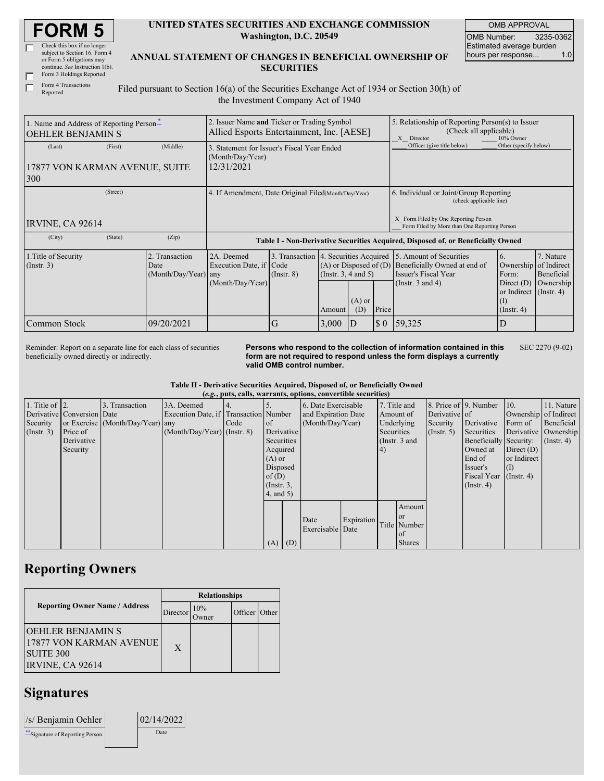| <b>FORM 5</b> |
|---------------|
|---------------|

| Check this box if no longer     |
|---------------------------------|
| subject to Section 16. Form 4   |
| or Form 5 obligations may       |
| continue. See Instruction 1(b). |
| Form 3 Holdings Reported        |
|                                 |

Form 4 Transactions Reported

Г

## **UNITED STATES SECURITIES AND EXCHANGE COMMISSION Washington, D.C. 20549**

OMB APPROVAL OMB Number: 3235-0362 Estimated average burden hours per response... 1.0

**ANNUAL STATEMENT OF CHANGES IN BENEFICIAL OWNERSHIP OF SECURITIES**

Filed pursuant to Section 16(a) of the Securities Exchange Act of 1934 or Section 30(h) of the Investment Company Act of 1940

| 1. Name and Address of Reporting Person-<br><b>OEHLER BENJAMIN S</b> |         |                                                | 2. Issuer Name and Ticker or Trading Symbol<br>Allied Esports Entertainment, Inc. [AESE] |                 |                                                                                                                         |                                                                                  |                                                                                         | 5. Relationship of Reporting Person(s) to Issuer<br>(Check all applicable)<br>X Director<br>10% Owner    |                                                                                                                      |                                      |  |
|----------------------------------------------------------------------|---------|------------------------------------------------|------------------------------------------------------------------------------------------|-----------------|-------------------------------------------------------------------------------------------------------------------------|----------------------------------------------------------------------------------|-----------------------------------------------------------------------------------------|----------------------------------------------------------------------------------------------------------|----------------------------------------------------------------------------------------------------------------------|--------------------------------------|--|
| (Last)                                                               | (First) | (Middle)                                       | 3. Statement for Issuer's Fiscal Year Ended<br>(Month/Day/Year)                          |                 |                                                                                                                         |                                                                                  | Officer (give title below)                                                              | Other (specify below)                                                                                    |                                                                                                                      |                                      |  |
| 17877 VON KARMAN AVENUE, SUITE<br>300                                |         |                                                | 12/31/2021                                                                               |                 |                                                                                                                         |                                                                                  |                                                                                         |                                                                                                          |                                                                                                                      |                                      |  |
| (Street)                                                             |         |                                                | 4. If Amendment, Date Original Filed(Month/Day/Year)                                     |                 |                                                                                                                         |                                                                                  |                                                                                         | 6. Individual or Joint/Group Reporting<br>(check applicable line)                                        |                                                                                                                      |                                      |  |
| IRVINE, CA 92614                                                     |         |                                                |                                                                                          |                 |                                                                                                                         |                                                                                  | Form Filed by One Reporting Person<br>X<br>Form Filed by More than One Reporting Person |                                                                                                          |                                                                                                                      |                                      |  |
| (City)                                                               | (State) | (Zip)                                          |                                                                                          |                 |                                                                                                                         | Table I - Non-Derivative Securities Acquired, Disposed of, or Beneficially Owned |                                                                                         |                                                                                                          |                                                                                                                      |                                      |  |
| 1. Title of Security<br>$($ Instr. 3 $)$                             |         | 2. Transaction<br>Date<br>(Month/Day/Year) any | 2A. Deemed<br>Execution Date, if Code<br>(Month/Day/Year)                                | $($ Instr. $8)$ | 3. Transaction 4. Securities Acquired<br>$(A)$ or Disposed of $(D)$<br>(Instr. 3, 4 and 5)<br>$(A)$ or<br>(D)<br>Amount |                                                                                  | Price                                                                                   | 5. Amount of Securities<br>Beneficially Owned at end of<br>Issuer's Fiscal Year<br>(Instr. $3$ and $4$ ) | 6.<br>Ownership of Indirect<br>Form:<br>Direct $(D)$<br>or Indirect (Instr. 4)<br>$(\mathrm{I})$<br>$($ Instr. 4 $)$ | 7. Nature<br>Beneficial<br>Ownership |  |
| Common Stock                                                         |         | 09/20/2021                                     |                                                                                          | G               | 3,000                                                                                                                   | ID                                                                               | $\sqrt{5}0$                                                                             | 59,325                                                                                                   | D                                                                                                                    |                                      |  |

Reminder: Report on a separate line for each class of securities beneficially owned directly or indirectly.

**Persons who respond to the collection of information contained in this form are not required to respond unless the form displays a currently valid OMB control number.** SEC 2270 (9-02)

**Table II - Derivative Securities Acquired, Disposed of, or Beneficially Owned**

|                    | (e.g., puts, calls, warrants, options, convertible securities) |                                  |                                       |      |                 |     |                     |            |            |               |                       |                        |                        |                  |  |  |  |           |               |  |                       |  |
|--------------------|----------------------------------------------------------------|----------------------------------|---------------------------------------|------|-----------------|-----|---------------------|------------|------------|---------------|-----------------------|------------------------|------------------------|------------------|--|--|--|-----------|---------------|--|-----------------------|--|
| 1. Title of $ 2$ . |                                                                | 3. Transaction                   | 3A. Deemed                            |      |                 |     | 6. Date Exercisable |            |            | 7. Title and  | 8. Price of 9. Number |                        | 10.                    | 11. Nature       |  |  |  |           |               |  |                       |  |
|                    | Derivative Conversion Date                                     |                                  | Execution Date, if Transaction Number |      |                 |     | and Expiration Date |            |            |               |                       |                        |                        |                  |  |  |  | Amount of | Derivative of |  | Ownership of Indirect |  |
| Security           |                                                                | or Exercise (Month/Day/Year) any |                                       | Code | <sub>of</sub>   |     | (Month/Day/Year)    |            |            | Underlying    | Security              | Derivative             | Form of                | Beneficial       |  |  |  |           |               |  |                       |  |
| $($ Instr. 3 $)$   | Price of                                                       |                                  | $(Month/Day/Year)$ (Instr. 8)         |      | Derivative      |     |                     |            | Securities |               | $($ Instr. 5 $)$      | Securities             | Derivative   Ownership |                  |  |  |  |           |               |  |                       |  |
|                    | Derivative                                                     |                                  |                                       |      | Securities      |     |                     |            |            | (Instr. 3 and |                       | Beneficially Security: |                        | $($ Instr. 4 $)$ |  |  |  |           |               |  |                       |  |
|                    | Security                                                       |                                  |                                       |      | Acquired        |     |                     |            | (4)        |               |                       | Owned at               | Direct $(D)$           |                  |  |  |  |           |               |  |                       |  |
|                    |                                                                |                                  |                                       |      | $(A)$ or        |     |                     |            |            |               |                       | End of                 | or Indirect            |                  |  |  |  |           |               |  |                       |  |
|                    |                                                                |                                  |                                       |      | Disposed        |     |                     |            |            |               |                       | Issuer's               | (I)                    |                  |  |  |  |           |               |  |                       |  |
|                    |                                                                |                                  |                                       |      | of $(D)$        |     |                     |            |            |               |                       | Fiscal Year            | $($ Instr. 4)          |                  |  |  |  |           |               |  |                       |  |
|                    |                                                                |                                  |                                       |      | $($ Instr. $3,$ |     |                     |            |            |               |                       | $($ Instr. 4)          |                        |                  |  |  |  |           |               |  |                       |  |
|                    |                                                                |                                  |                                       |      | $4$ , and $5$ ) |     |                     |            |            |               |                       |                        |                        |                  |  |  |  |           |               |  |                       |  |
|                    |                                                                |                                  |                                       |      |                 |     |                     |            |            | Amount        |                       |                        |                        |                  |  |  |  |           |               |  |                       |  |
|                    |                                                                |                                  |                                       |      |                 |     |                     |            |            | <sub>or</sub> |                       |                        |                        |                  |  |  |  |           |               |  |                       |  |
|                    |                                                                |                                  |                                       |      |                 |     | Date                | Expiration |            | Title Number  |                       |                        |                        |                  |  |  |  |           |               |  |                       |  |
|                    |                                                                |                                  |                                       |      |                 |     | Exercisable Date    |            |            | of            |                       |                        |                        |                  |  |  |  |           |               |  |                       |  |
|                    |                                                                |                                  |                                       |      | (A)             | (D) |                     |            |            | <b>Shares</b> |                       |                        |                        |                  |  |  |  |           |               |  |                       |  |

## **Reporting Owners**

|                                                                                       | <b>Relationships</b> |              |               |  |  |  |  |
|---------------------------------------------------------------------------------------|----------------------|--------------|---------------|--|--|--|--|
| <b>Reporting Owner Name / Address</b>                                                 | Director             | 10%<br>)wner | Officer Other |  |  |  |  |
| IOEHLER BENJAMIN S<br>17877 VON KARMAN AVENUE<br><b>SUITE 300</b><br>IRVINE, CA 92614 | X                    |              |               |  |  |  |  |

## **Signatures**

| /s/ Benjamin Oehler            | 02/14/2022 |  |
|--------------------------------|------------|--|
| "Signature of Reporting Person | Date       |  |